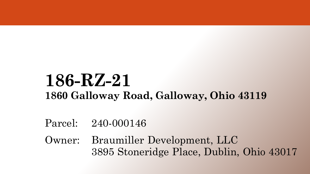#### **186-RZ-21 1860 Galloway Road, Galloway, Ohio 43119**

Parcel: 240-000146

Owner: Braumiller Development, LLC 3895 Stoneridge Place, Dublin, Ohio 43017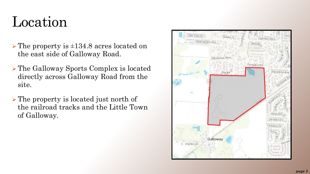#### Location

- $\triangleright$  The property is  $\pm 134.8$  acres located on the east side of Galloway Road.
- The Galloway Sports Complex is located directly across Galloway Road from the site.
- The property is located just north of the railroad tracks and the Little Town of Galloway.

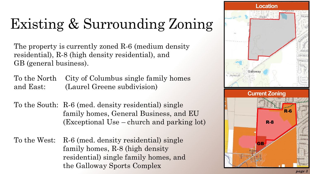# Existing & Surrounding Zoning

The property is currently zoned R-6 (medium density residential), R-8 (high density residential), and GB (general business).

To the North City of Columbus single family homes and East: (Laurel Greene subdivision)

To the South: R-6 (med. density residential) single family homes, General Business, and EU (Exceptional Use – church and parking lot)

To the West: R-6 (med. density residential) single family homes, R-8 (high density residential) single family homes, and the Galloway Sports Complex

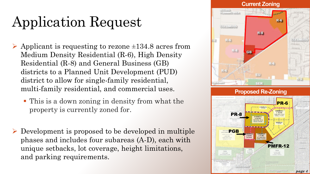# Application Request

- $\triangleright$  Applicant is requesting to rezone  $\pm 134.8$  acres from Medium Density Residential (R-6), High Density Residential (R-8) and General Business (GB) districts to a Planned Unit Development (PUD) district to allow for single-family residential, multi-family residential, and commercial uses.
	- This is a down zoning in density from what the property is currently zoned for.
- Development is proposed to be developed in multiple phases and includes four subareas (A-D), each with unique setbacks, lot coverage, height limitations, and parking requirements.

#### **Current Zoning**  $R-6$ **COLUMBUS**  $R - 8$ **COLLUMBIUS**  $R - 6$  $R-8$ GB. R-6



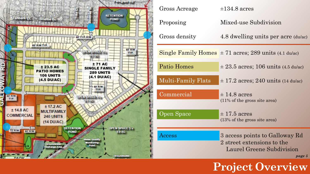

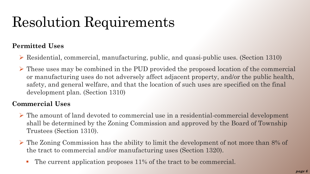#### **Permitted Uses**

- Residential, commercial, manufacturing, public, and quasi-public uses. (Section 1310)
- $\triangleright$  These uses may be combined in the PUD provided the proposed location of the commercial or manufacturing uses do not adversely affect adjacent property, and/or the public health, safety, and general welfare, and that the location of such uses are specified on the final development plan. (Section 1310)

#### **Commercial Uses**

- $\triangleright$  The amount of land devoted to commercial use in a residential-commercial development shall be determined by the Zoning Commission and approved by the Board of Township Trustees (Section 1310).
- $\triangleright$  The Zoning Commission has the ability to limit the development of not more than 8% of the tract to commercial and/or manufacturing uses (Section 1320).
	- The current application proposes 11% of the tract to be commercial.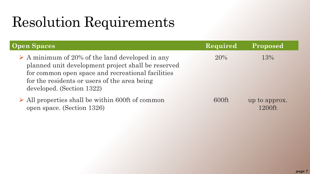| <b>Open Spaces</b>                                                                                                                                                                                                                                     | Required | Proposed                |  |
|--------------------------------------------------------------------------------------------------------------------------------------------------------------------------------------------------------------------------------------------------------|----------|-------------------------|--|
| $\triangleright$ A minimum of 20% of the land developed in any<br>planned unit development project shall be reserved<br>for common open space and recreational facilities<br>for the residents or users of the area being<br>developed. (Section 1322) | $20\%$   | 13%                     |  |
| $\triangleright$ All properties shall be within 600ft of common<br>open space. (Section 1326)                                                                                                                                                          | $600$ ft | up to approx.<br>1200ft |  |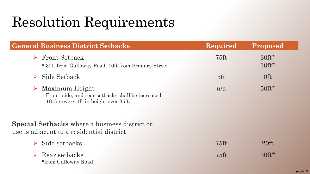| <b>General Business District Setbacks</b>                                                                            | Required | Proposed           |  |
|----------------------------------------------------------------------------------------------------------------------|----------|--------------------|--|
| <b>Front Setback</b><br>$\blacktriangleright$<br>* 30ft from Galloway Road, 10ft from Primary Street                 | $75$ ft  | $30ft*$<br>$10ft*$ |  |
| Side Setback                                                                                                         | 5ft      | 0 <sup>ft</sup>    |  |
| Maximum Height<br>▶<br>* Front, side, and rear setbacks shall be increased<br>1ft for every 1ft in height over 35ft. | n/a      | $50 \text{ft}^*$   |  |
| <b>Special Setbacks</b> where a business district or<br>use is adjacent to a residential district                    |          |                    |  |
| Side setbacks                                                                                                        | $75$ ft  | $20 \text{ft}$     |  |
| $\triangleright$ Rear setbacks<br>*from Galloway Road                                                                | $75$ ft  | $30 \text{ft}^*$   |  |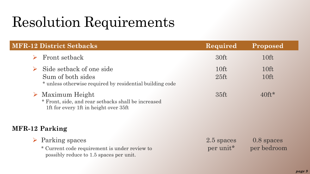|                       | <b>MFR-12 District Setbacks</b>                                                                                                 | Required                | Proposed                  |
|-----------------------|---------------------------------------------------------------------------------------------------------------------------------|-------------------------|---------------------------|
|                       | Front setback                                                                                                                   | 30ft                    | 10ft                      |
| $\blacktriangleright$ | Side setback of one side<br>Sum of both sides<br>* unless otherwise required by residential building code                       | 10ft<br>$25 \text{ft}$  | 10ft<br>10 <sup>ft</sup>  |
|                       | $\triangleright$ Maximum Height<br>* Front, side, and rear setbacks shall be increased<br>1ft for every 1ft in height over 35ft | 35ft                    | $40$ ft*                  |
|                       | <b>MFR-12 Parking</b>                                                                                                           |                         |                           |
|                       | $\triangleright$ Parking spaces<br>* Current code requirement is under review to<br>possibly reduce to 1.5 spaces per unit.     | 2.5 spaces<br>per unit* | 0.8 spaces<br>per bedroom |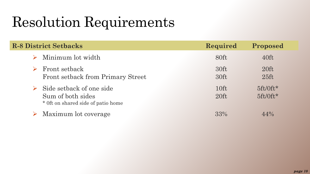| <b>R-8 District Setbacks</b>                                                                         | Required                 | Proposed                  |
|------------------------------------------------------------------------------------------------------|--------------------------|---------------------------|
| Minimum lot width                                                                                    | 80ft                     | 40ft                      |
| <b>Front setback</b><br>Front setback from Primary Street                                            | 30ft<br>30ft             | $20$ ft<br>$25 \text{ft}$ |
| $\triangleright$ Side setback of one side<br>Sum of both sides<br>* Oft on shared side of patio home | 10 <sup>ft</sup><br>20ft | $5ft/0ft*$<br>$5ft/0ft*$  |
| Maximum lot coverage                                                                                 | 33%                      | $44\%$                    |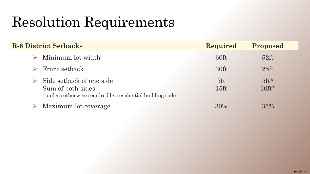| <b>R-6 District Setbacks</b>                                                                                                       | Required              | Proposed                         |  |
|------------------------------------------------------------------------------------------------------------------------------------|-----------------------|----------------------------------|--|
| Minimum lot width                                                                                                                  | 60ft                  | $52 \text{ft}$                   |  |
| Front setback<br>$\triangleright$                                                                                                  | 30ft                  | $25 \text{ft}$                   |  |
| Side setback of one side<br>$\blacktriangleright$<br>Sum of both sides<br>* unless otherwise required by residential building code | 5ft<br>$15 \text{ft}$ | $5 \text{ft}^{\star}$<br>$10ft*$ |  |
| Maximum lot coverage                                                                                                               | 30%                   | 35%                              |  |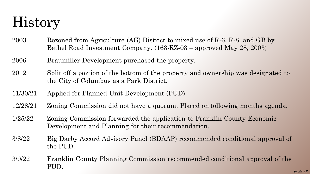#### History

- 2003 Rezoned from Agriculture (AG) District to mixed use of R-6, R-8, and GB by Bethel Road Investment Company. (163-RZ-03 – approved May 28, 2003)
- 2006 Braumiller Development purchased the property.
- 2012 Split off a portion of the bottom of the property and ownership was designated to the City of Columbus as a Park District.
- 11/30/21 Applied for Planned Unit Development (PUD).
- 12/28/21 Zoning Commission did not have a quorum. Placed on following months agenda.
- 1/25/22 Zoning Commission forwarded the application to Franklin County Economic Development and Planning for their recommendation.
- 3/8/22 Big Darby Accord Advisory Panel (BDAAP) recommended conditional approval of the PUD.
- 3/9/22 Franklin County Planning Commission recommended conditional approval of the PUD.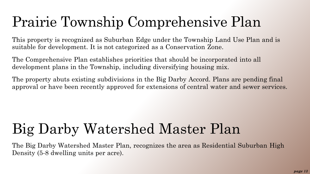#### Prairie Township Comprehensive Plan

This property is recognized as Suburban Edge under the Township Land Use Plan and is suitable for development. It is not categorized as a Conservation Zone.

The Comprehensive Plan establishes priorities that should be incorporated into all development plans in the Township, including diversifying housing mix.

The property abuts existing subdivisions in the Big Darby Accord. Plans are pending final approval or have been recently approved for extensions of central water and sewer services.

#### Big Darby Watershed Master Plan

The Big Darby Watershed Master Plan, recognizes the area as Residential Suburban High Density (5-8 dwelling units per acre).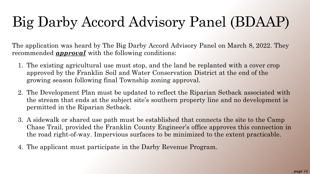# Big Darby Accord Advisory Panel (BDAAP)

The application was heard by The Big Darby Accord Advisory Panel on March 8, 2022. They recommended *approval* with the following conditions:

- 1. The existing agricultural use must stop, and the land be replanted with a cover crop approved by the Franklin Soil and Water Conservation District at the end of the growing season following final Township zoning approval.
- 2. The Development Plan must be updated to reflect the Riparian Setback associated with the stream that ends at the subject site's southern property line and no development is permitted in the Riparian Setback.
- 3. A sidewalk or shared use path must be established that connects the site to the Camp Chase Trail, provided the Franklin County Engineer's office approves this connection in the road right-of-way. Impervious surfaces to be minimized to the extent practicable.
- 4. The applicant must participate in the Darby Revenue Program.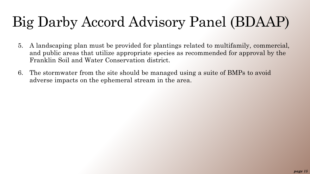### Big Darby Accord Advisory Panel (BDAAP)

- 5. A landscaping plan must be provided for plantings related to multifamily, commercial, and public areas that utilize appropriate species as recommended for approval by the Franklin Soil and Water Conservation district.
- 6. The stormwater from the site should be managed using a suite of BMPs to avoid adverse impacts on the ephemeral stream in the area.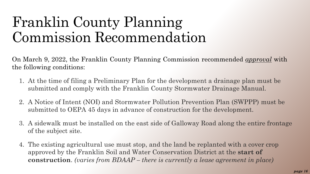#### Franklin County Planning Commission Recommendation

On March 9, 2022, the Franklin County Planning Commission recommended *approval* with the following conditions:

- 1. At the time of filing a Preliminary Plan for the development a drainage plan must be submitted and comply with the Franklin County Stormwater Drainage Manual.
- 2. A Notice of Intent (NOI) and Stormwater Pollution Prevention Plan (SWPPP) must be submitted to OEPA 45 days in advance of construction for the development.
- 3. A sidewalk must be installed on the east side of Galloway Road along the entire frontage of the subject site.
- 4. The existing agricultural use must stop, and the land be replanted with a cover crop approved by the Franklin Soil and Water Conservation District at the **start of construction**. *(varies from BDAAP – there is currently a lease agreement in place)*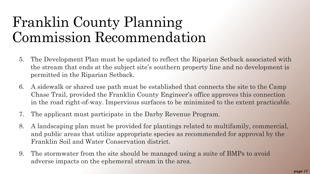#### Franklin County Planning Commission Recommendation

- 5. The Development Plan must be updated to reflect the Riparian Setback associated with the stream that ends at the subject site's southern property line and no development is permitted in the Riparian Setback.
- 6. A sidewalk or shared use path must be established that connects the site to the Camp Chase Trail, provided the Franklin County Engineer's office approves this connection in the road right-of-way. Impervious surfaces to be minimized to the extent practicable.
- 7. The applicant must participate in the Darby Revenue Program.
- 8. A landscaping plan must be provided for plantings related to multifamily, commercial, and public areas that utilize appropriate species as recommended for approval by the Franklin Soil and Water Conservation district.
- 9. The stormwater from the site should be managed using a suite of BMPs to avoid adverse impacts on the ephemeral stream in the area.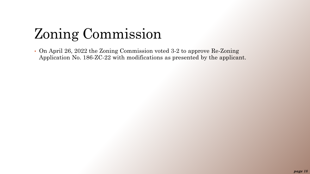### Zoning Commission

• On April 26, 2022 the Zoning Commission voted 3-2 to approve Re-Zoning Application No. 186-ZC-22 with modifications as presented by the applicant.